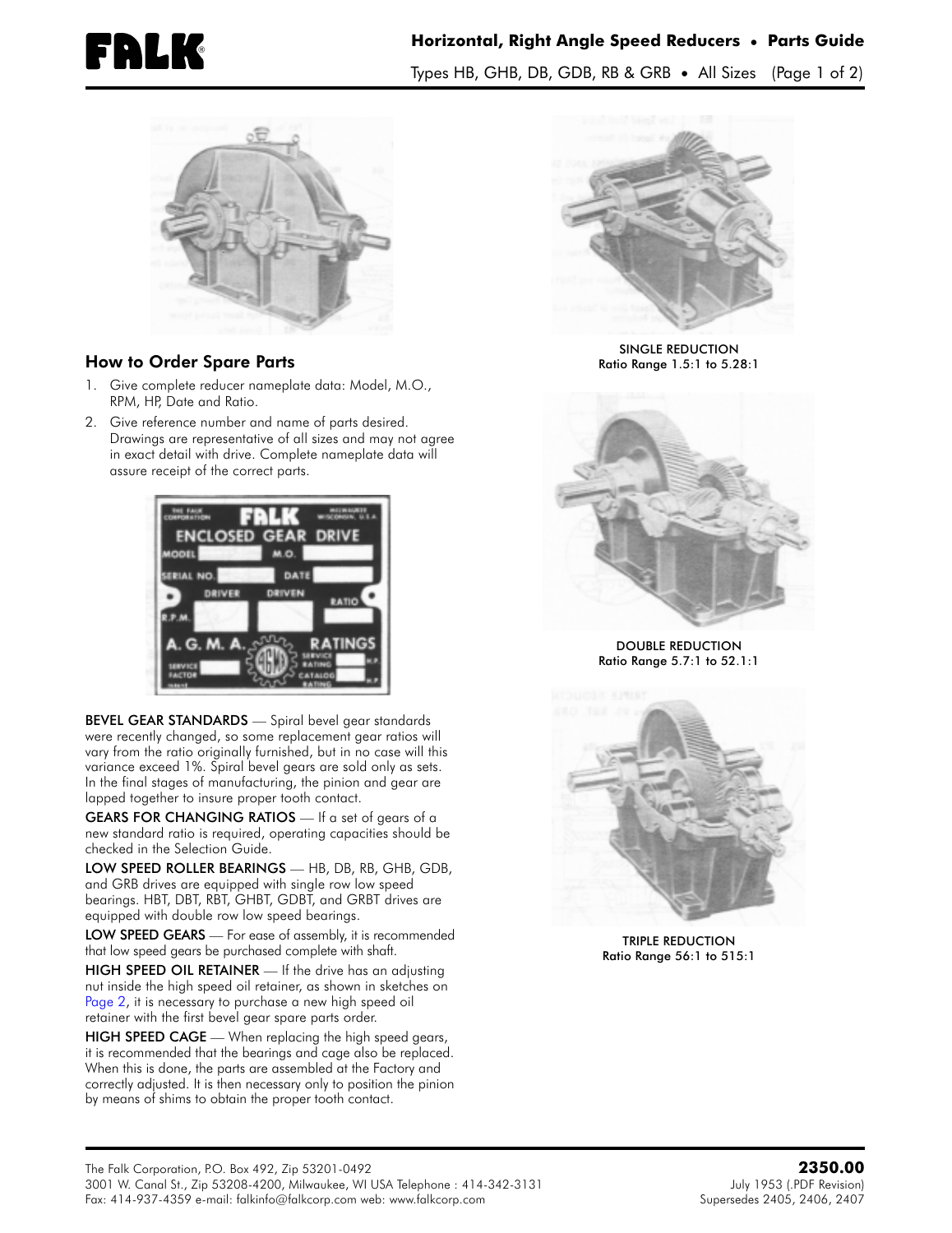

## ® **Horizontal, Right Angle Speed Reducers • Parts Guide** Types HB, GHB, DB, GDB, RB & GRB **•** All Sizes (Page 1 of 2)



## How to Order Spare Parts

- 1. Give complete reducer nameplate data: Model, M.O., RPM, HP, Date and Ratio.
- 2. Give reference number and name of parts desired. Drawings are representative of all sizes and may not agree in exact detail with drive. Complete nameplate data will assure receipt of the correct parts.



BEVEL GEAR STANDARDS - Spiral bevel gear standards were recently changed, so some replacement gear ratios will vary from the ratio originally furnished, but in no case will this variance exceed 1%. Spiral bevel gears are sold only as sets. In the final stages of manufacturing, the pinion and gear are lapped together to insure proper tooth contact.

GEARS FOR CHANGING RATIOS - If a set of gears of a new standard ratio is required, operating capacities should be checked in the Selection Guide.

LOW SPEED ROLLER BEARINGS — HB, DB, RB, GHB, GDB, and GRB drives are equipped with single row low speed bearings. HBT, DBT, RBT, GHBT, GDBT, and GRBT drives are equipped with double row low speed bearings.

LOW SPEED GEARS - For ease of assembly, it is recommended that low speed gears be purchased complete with shaft.

HIGH SPEED OIL RETAINER - If the drive has an adjusting nut inside the high speed oil retainer, as shown in sketches on [Page](#page-1-0) 2, it is necessary to purchase a new high speed oil retainer with the first bevel gear spare parts order.

HIGH SPEED CAGE — When replacing the high speed gears, it is recommended that the bearings and cage also be replaced. When this is done, the parts are assembled at the Factory and correctly adjusted. It is then necessary only to position the pinion by means of shims to obtain the proper tooth contact.



SINGLE REDUCTION Ratio Range 1.5:1 to 5.28:1



DOUBLE REDUCTION Ratio Range 5.7:1 to 52.1:1



TRIPLE REDUCTION Ratio Range 56:1 to 515:1